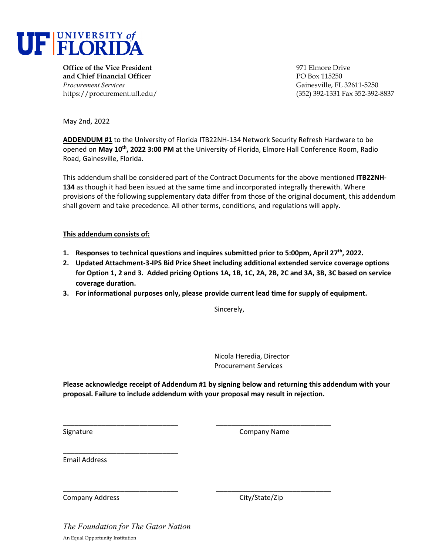

**Office of the Vice President** 971 Elmore Drive **and Chief Financial Officer PO Box 115250** *Procurement Services* Gainesville, FL 32611-5250

https://procurement.ufl.edu/ (352) 392-1331 Fax 352-392-8837

May 2nd, 2022

**ADDENDUM #1** to the University of Florida ITB22NH‐134 Network Security Refresh Hardware to be opened on **May 10th, 2022 3:00 PM** at the University of Florida, Elmore Hall Conference Room, Radio Road, Gainesville, Florida.

This addendum shall be considered part of the Contract Documents for the above mentioned **ITB22NH‐ 134** as though it had been issued at the same time and incorporated integrally therewith. Where provisions of the following supplementary data differ from those of the original document, this addendum shall govern and take precedence. All other terms, conditions, and regulations will apply.

#### **This addendum consists of:**

- **1. Responses to technical questions and inquires submitted prior to 5:00pm, April 27th, 2022.**
- **2. Updated Attachment‐3‐IPS Bid Price Sheet including additional extended service coverage options** for Option 1, 2 and 3. Added pricing Options 1A, 1B, 1C, 2A, 2B, 2C and 3A, 3B, 3C based on service **coverage duration.**
- **3. For informational purposes only, please provide current lead time for supply of equipment.**

Sincerely,

Nicola Heredia, Director Procurement Services

**Please acknowledge receipt of Addendum #1 by signing below and returning this addendum with your proposal. Failure to include addendum with your proposal may result in rejection.**

\_\_\_\_\_\_\_\_\_\_\_\_\_\_\_\_\_\_\_\_\_\_\_\_\_\_\_\_\_\_ \_\_\_\_\_\_\_\_\_\_\_\_\_\_\_\_\_\_\_\_\_\_\_\_\_\_\_\_\_\_

\_\_\_\_\_\_\_\_\_\_\_\_\_\_\_\_\_\_\_\_\_\_\_\_\_\_\_\_\_\_ \_\_\_\_\_\_\_\_\_\_\_\_\_\_\_\_\_\_\_\_\_\_\_\_\_\_\_\_\_\_

Signature **Company Name** 

Email Address

Company Address City/State/Zip

*The Foundation for The Gator Nation*  An Equal Opportunity Institution

\_\_\_\_\_\_\_\_\_\_\_\_\_\_\_\_\_\_\_\_\_\_\_\_\_\_\_\_\_\_